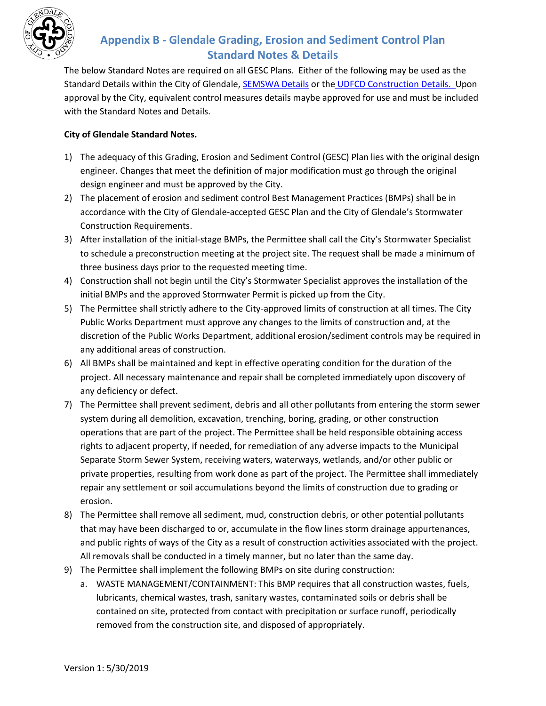

## **Appendix B - Glendale Grading, Erosion and Sediment Control Plan Standard Notes & Details**

The below Standard Notes are required on all GESC Plans. Either of the following may be used as the Standard Details within the City of Glendale, [SEMSWA Details](http://www.semswa.org/uploads/FileLinks/b12c6e8dc547463fbec261af7140e589/Appendix_F___Standard_Details_rotated.pdf) or the [UDFCD Construction Details.](https://udfcd.org/volume-three) Upon approval by the City, equivalent control measures details maybe approved for use and must be included with the Standard Notes and Details.

## **City of Glendale Standard Notes.**

- 1) The adequacy of this Grading, Erosion and Sediment Control (GESC) Plan lies with the original design engineer. Changes that meet the definition of major modification must go through the original design engineer and must be approved by the City.
- 2) The placement of erosion and sediment control Best Management Practices (BMPs) shall be in accordance with the City of Glendale-accepted GESC Plan and the City of Glendale's Stormwater Construction Requirements.
- 3) After installation of the initial-stage BMPs, the Permittee shall call the City's Stormwater Specialist to schedule a preconstruction meeting at the project site. The request shall be made a minimum of three business days prior to the requested meeting time.
- 4) Construction shall not begin until the City's Stormwater Specialist approves the installation of the initial BMPs and the approved Stormwater Permit is picked up from the City.
- 5) The Permittee shall strictly adhere to the City-approved limits of construction at all times. The City Public Works Department must approve any changes to the limits of construction and, at the discretion of the Public Works Department, additional erosion/sediment controls may be required in any additional areas of construction.
- 6) All BMPs shall be maintained and kept in effective operating condition for the duration of the project. All necessary maintenance and repair shall be completed immediately upon discovery of any deficiency or defect.
- 7) The Permittee shall prevent sediment, debris and all other pollutants from entering the storm sewer system during all demolition, excavation, trenching, boring, grading, or other construction operations that are part of the project. The Permittee shall be held responsible obtaining access rights to adjacent property, if needed, for remediation of any adverse impacts to the Municipal Separate Storm Sewer System, receiving waters, waterways, wetlands, and/or other public or private properties, resulting from work done as part of the project. The Permittee shall immediately repair any settlement or soil accumulations beyond the limits of construction due to grading or erosion.
- 8) The Permittee shall remove all sediment, mud, construction debris, or other potential pollutants that may have been discharged to or, accumulate in the flow lines storm drainage appurtenances, and public rights of ways of the City as a result of construction activities associated with the project. All removals shall be conducted in a timely manner, but no later than the same day.
- 9) The Permittee shall implement the following BMPs on site during construction:
	- a. WASTE MANAGEMENT/CONTAINMENT: This BMP requires that all construction wastes, fuels, lubricants, chemical wastes, trash, sanitary wastes, contaminated soils or debris shall be contained on site, protected from contact with precipitation or surface runoff, periodically removed from the construction site, and disposed of appropriately.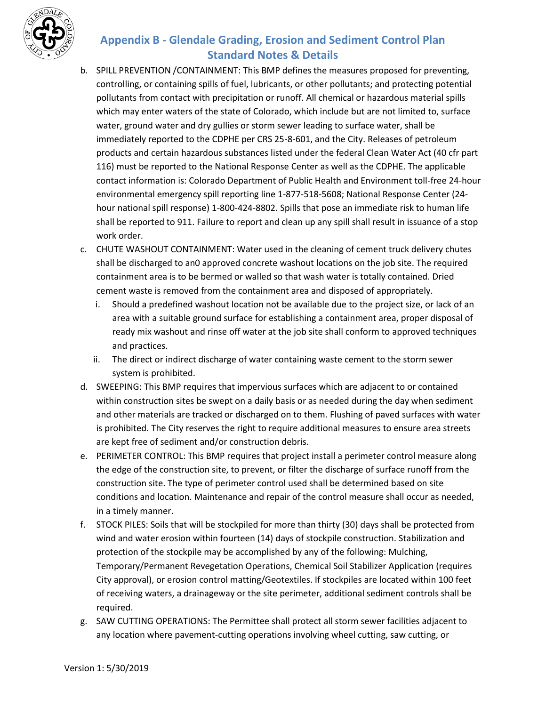

## **Appendix B - Glendale Grading, Erosion and Sediment Control Plan Standard Notes & Details**

- b. SPILL PREVENTION /CONTAINMENT: This BMP defines the measures proposed for preventing, controlling, or containing spills of fuel, lubricants, or other pollutants; and protecting potential pollutants from contact with precipitation or runoff. All chemical or hazardous material spills which may enter waters of the state of Colorado, which include but are not limited to, surface water, ground water and dry gullies or storm sewer leading to surface water, shall be immediately reported to the CDPHE per CRS 25-8-601, and the City. Releases of petroleum products and certain hazardous substances listed under the federal Clean Water Act (40 cfr part 116) must be reported to the National Response Center as well as the CDPHE. The applicable contact information is: Colorado Department of Public Health and Environment toll-free 24-hour environmental emergency spill reporting line 1-877-518-5608; National Response Center (24 hour national spill response) 1-800-424-8802. Spills that pose an immediate risk to human life shall be reported to 911. Failure to report and clean up any spill shall result in issuance of a stop work order.
- c. CHUTE WASHOUT CONTAINMENT: Water used in the cleaning of cement truck delivery chutes shall be discharged to an0 approved concrete washout locations on the job site. The required containment area is to be bermed or walled so that wash water is totally contained. Dried cement waste is removed from the containment area and disposed of appropriately.
	- i. Should a predefined washout location not be available due to the project size, or lack of an area with a suitable ground surface for establishing a containment area, proper disposal of ready mix washout and rinse off water at the job site shall conform to approved techniques and practices.
	- ii. The direct or indirect discharge of water containing waste cement to the storm sewer system is prohibited.
- d. SWEEPING: This BMP requires that impervious surfaces which are adjacent to or contained within construction sites be swept on a daily basis or as needed during the day when sediment and other materials are tracked or discharged on to them. Flushing of paved surfaces with water is prohibited. The City reserves the right to require additional measures to ensure area streets are kept free of sediment and/or construction debris.
- e. PERIMETER CONTROL: This BMP requires that project install a perimeter control measure along the edge of the construction site, to prevent, or filter the discharge of surface runoff from the construction site. The type of perimeter control used shall be determined based on site conditions and location. Maintenance and repair of the control measure shall occur as needed, in a timely manner.
- f. STOCK PILES: Soils that will be stockpiled for more than thirty (30) days shall be protected from wind and water erosion within fourteen (14) days of stockpile construction. Stabilization and protection of the stockpile may be accomplished by any of the following: Mulching, Temporary/Permanent Revegetation Operations, Chemical Soil Stabilizer Application (requires City approval), or erosion control matting/Geotextiles. If stockpiles are located within 100 feet of receiving waters, a drainageway or the site perimeter, additional sediment controls shall be required.
- g. SAW CUTTING OPERATIONS: The Permittee shall protect all storm sewer facilities adjacent to any location where pavement-cutting operations involving wheel cutting, saw cutting, or